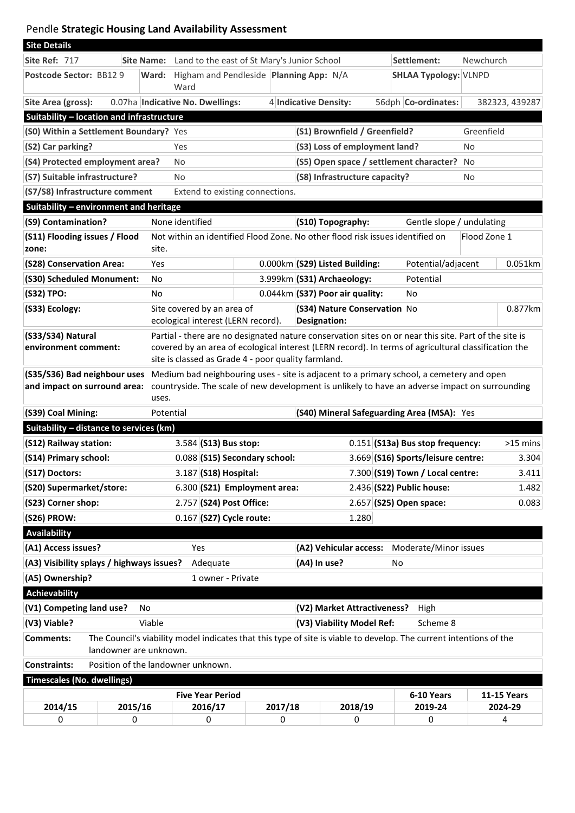## Pendle **Strategic Housing Land Availability Assessment**

| <b>Site Details</b>                                                                                                                                                                                                                                                 |                                                                               |                                                                  |                                                                  |                                                     |                                                |                                              |                                                  |              |                                              |                              |                    |
|---------------------------------------------------------------------------------------------------------------------------------------------------------------------------------------------------------------------------------------------------------------------|-------------------------------------------------------------------------------|------------------------------------------------------------------|------------------------------------------------------------------|-----------------------------------------------------|------------------------------------------------|----------------------------------------------|--------------------------------------------------|--------------|----------------------------------------------|------------------------------|--------------------|
| Site Ref: 717                                                                                                                                                                                                                                                       |                                                                               | <b>Site Name:</b><br>Land to the east of St Mary's Junior School |                                                                  |                                                     |                                                |                                              |                                                  |              | Settlement:                                  | Newchurch                    |                    |
| Postcode Sector: BB12 9                                                                                                                                                                                                                                             |                                                                               |                                                                  | Ward: Higham and Pendleside Planning App: N/A<br>Ward            |                                                     |                                                |                                              |                                                  |              |                                              | <b>SHLAA Typology: VLNPD</b> |                    |
| Site Area (gross):                                                                                                                                                                                                                                                  |                                                                               |                                                                  | 0.07ha Indicative No. Dwellings:                                 |                                                     |                                                | 4 Indicative Density:                        |                                                  |              | 56dph Co-ordinates:                          |                              | 382323, 439287     |
| Suitability - location and infrastructure                                                                                                                                                                                                                           |                                                                               |                                                                  |                                                                  |                                                     |                                                |                                              |                                                  |              |                                              |                              |                    |
| (S0) Within a Settlement Boundary? Yes                                                                                                                                                                                                                              |                                                                               |                                                                  |                                                                  |                                                     | (S1) Brownfield / Greenfield?                  |                                              |                                                  | Greenfield   |                                              |                              |                    |
| (S2) Car parking?                                                                                                                                                                                                                                                   | Yes                                                                           |                                                                  |                                                                  | (S3) Loss of employment land?                       |                                                |                                              | No                                               |              |                                              |                              |                    |
| (S4) Protected employment area?                                                                                                                                                                                                                                     |                                                                               |                                                                  | No                                                               |                                                     |                                                |                                              |                                                  |              | (S5) Open space / settlement character?      | <b>No</b>                    |                    |
| (S7) Suitable infrastructure?                                                                                                                                                                                                                                       |                                                                               |                                                                  | No                                                               |                                                     |                                                | (S8) Infrastructure capacity?                |                                                  |              | No                                           |                              |                    |
| (S7/S8) Infrastructure comment<br>Extend to existing connections.                                                                                                                                                                                                   |                                                                               |                                                                  |                                                                  |                                                     |                                                |                                              |                                                  |              |                                              |                              |                    |
| Suitability - environment and heritage                                                                                                                                                                                                                              |                                                                               |                                                                  |                                                                  |                                                     |                                                |                                              |                                                  |              |                                              |                              |                    |
| (S9) Contamination?                                                                                                                                                                                                                                                 |                                                                               |                                                                  | None identified                                                  |                                                     | (S10) Topography:<br>Gentle slope / undulating |                                              |                                                  |              |                                              |                              |                    |
| (S11) Flooding issues / Flood<br>zone:                                                                                                                                                                                                                              | Not within an identified Flood Zone. No other flood risk issues identified on |                                                                  |                                                                  |                                                     |                                                |                                              |                                                  | Flood Zone 1 |                                              |                              |                    |
| (S28) Conservation Area:                                                                                                                                                                                                                                            |                                                                               | Yes                                                              |                                                                  |                                                     |                                                |                                              | 0.000km (S29) Listed Building:                   |              | Potential/adjacent                           |                              | 0.051km            |
| (S30) Scheduled Monument:<br>No                                                                                                                                                                                                                                     |                                                                               |                                                                  |                                                                  |                                                     |                                                | 3.999km (S31) Archaeology:<br>Potential      |                                                  |              |                                              |                              |                    |
| (S32) TPO:<br>No                                                                                                                                                                                                                                                    |                                                                               |                                                                  |                                                                  |                                                     |                                                | $0.044$ km $ $ (S37) Poor air quality:<br>No |                                                  |              |                                              |                              |                    |
| (S33) Ecology:                                                                                                                                                                                                                                                      |                                                                               |                                                                  | Site covered by an area of<br>ecological interest (LERN record). | (S34) Nature Conservation No<br><b>Designation:</b> |                                                |                                              |                                                  | 0.877km      |                                              |                              |                    |
| Partial - there are no designated nature conservation sites on or near this site. Part of the site is<br>(S33/S34) Natural<br>environment comment:<br>covered by an area of ecological interest (LERN record). In terms of agricultural classification the          |                                                                               |                                                                  |                                                                  |                                                     |                                                |                                              |                                                  |              |                                              |                              |                    |
| site is classed as Grade 4 - poor quality farmland.                                                                                                                                                                                                                 |                                                                               |                                                                  |                                                                  |                                                     |                                                |                                              |                                                  |              |                                              |                              |                    |
| (S35/S36) Bad neighbour uses<br>Medium bad neighbouring uses - site is adjacent to a primary school, a cemetery and open<br>and impact on surround area:<br>countryside. The scale of new development is unlikely to have an adverse impact on surrounding<br>uses. |                                                                               |                                                                  |                                                                  |                                                     |                                                |                                              |                                                  |              |                                              |                              |                    |
| (S39) Coal Mining:                                                                                                                                                                                                                                                  |                                                                               |                                                                  | Potential                                                        |                                                     |                                                |                                              | (S40) Mineral Safeguarding Area (MSA): Yes       |              |                                              |                              |                    |
| Suitability - distance to services (km)                                                                                                                                                                                                                             |                                                                               |                                                                  |                                                                  |                                                     |                                                |                                              |                                                  |              |                                              |                              |                    |
| (S12) Railway station:                                                                                                                                                                                                                                              |                                                                               |                                                                  | $3.584$ (S13) Bus stop:                                          |                                                     |                                                |                                              | $0.151$ (S13a) Bus stop frequency:<br>$>15$ mins |              |                                              |                              |                    |
| (S14) Primary school:                                                                                                                                                                                                                                               |                                                                               |                                                                  | 0.088 (S15) Secondary school:                                    |                                                     |                                                |                                              | 3.669 (S16) Sports/leisure centre:<br>3.304      |              |                                              |                              |                    |
| (S17) Doctors:                                                                                                                                                                                                                                                      |                                                                               |                                                                  | 3.187 (S18) Hospital:                                            |                                                     |                                                |                                              | 7.300 (S19) Town / Local centre:<br>3.411        |              |                                              |                              |                    |
| (S20) Supermarket/store:                                                                                                                                                                                                                                            |                                                                               |                                                                  | $6.300$ (S21) Employment area:                                   |                                                     |                                                |                                              | 2.436 (S22) Public house:                        |              |                                              |                              | 1.482              |
| (S23) Corner shop:                                                                                                                                                                                                                                                  |                                                                               |                                                                  | 2.757 (S24) Post Office:                                         |                                                     |                                                |                                              | $2.657$ (S25) Open space:                        |              |                                              |                              | 0.083              |
| (S26) PROW:                                                                                                                                                                                                                                                         |                                                                               |                                                                  | $0.167$ (S27) Cycle route:                                       |                                                     |                                                |                                              | 1.280                                            |              |                                              |                              |                    |
| <b>Availability</b>                                                                                                                                                                                                                                                 |                                                                               |                                                                  |                                                                  |                                                     |                                                |                                              |                                                  |              |                                              |                              |                    |
| (A1) Access issues?                                                                                                                                                                                                                                                 |                                                                               |                                                                  | Yes                                                              |                                                     |                                                |                                              |                                                  |              | (A2) Vehicular access: Moderate/Minor issues |                              |                    |
| (A3) Visibility splays / highways issues?                                                                                                                                                                                                                           |                                                                               |                                                                  | Adequate                                                         |                                                     |                                                | (A4) In use?                                 |                                                  |              | No                                           |                              |                    |
| (A5) Ownership?<br>1 owner - Private                                                                                                                                                                                                                                |                                                                               |                                                                  |                                                                  |                                                     |                                                |                                              |                                                  |              |                                              |                              |                    |
| <b>Achievability</b>                                                                                                                                                                                                                                                |                                                                               |                                                                  |                                                                  |                                                     |                                                |                                              |                                                  |              |                                              |                              |                    |
| (V1) Competing land use?<br>(V2) Market Attractiveness?<br>High<br>No                                                                                                                                                                                               |                                                                               |                                                                  |                                                                  |                                                     |                                                |                                              |                                                  |              |                                              |                              |                    |
| Viable<br>(V3) Viability Model Ref:<br>Scheme 8<br>(V3) Viable?                                                                                                                                                                                                     |                                                                               |                                                                  |                                                                  |                                                     |                                                |                                              |                                                  |              |                                              |                              |                    |
| The Council's viability model indicates that this type of site is viable to develop. The current intentions of the<br><b>Comments:</b><br>landowner are unknown.                                                                                                    |                                                                               |                                                                  |                                                                  |                                                     |                                                |                                              |                                                  |              |                                              |                              |                    |
| <b>Constraints:</b>                                                                                                                                                                                                                                                 |                                                                               |                                                                  | Position of the landowner unknown.                               |                                                     |                                                |                                              |                                                  |              |                                              |                              |                    |
| <b>Timescales (No. dwellings)</b>                                                                                                                                                                                                                                   |                                                                               |                                                                  |                                                                  |                                                     |                                                |                                              |                                                  |              |                                              |                              |                    |
| <b>Five Year Period</b>                                                                                                                                                                                                                                             |                                                                               |                                                                  |                                                                  |                                                     |                                                |                                              |                                                  |              | 6-10 Years                                   |                              | <b>11-15 Years</b> |
| 2014/15                                                                                                                                                                                                                                                             | 2015/16                                                                       |                                                                  | 2016/17                                                          |                                                     | 2017/18                                        |                                              | 2018/19                                          |              | 2019-24                                      |                              | 2024-29            |
| 0                                                                                                                                                                                                                                                                   | 0                                                                             |                                                                  | 0                                                                |                                                     | 0                                              |                                              | 0                                                |              | 0                                            |                              | 4                  |